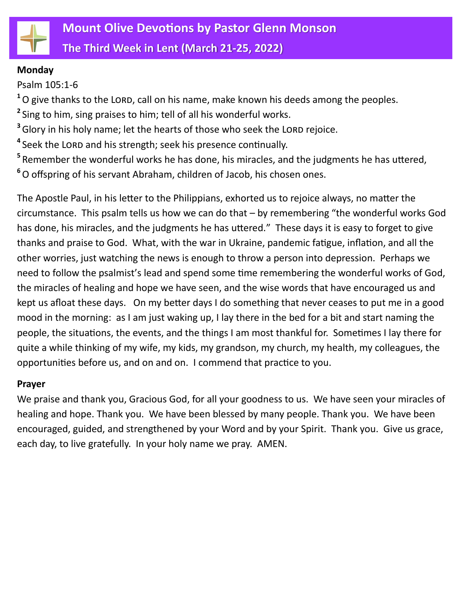

**The Third Week in Lent (March 21-25, 2022)**

### **Monday**

Psalm 105:1-6

<sup>1</sup>O give thanks to the LORD, call on his name, make known his deeds among the peoples.

**2** Sing to him, sing praises to him; tell of all his wonderful works.

<sup>3</sup> Glory in his holy name; let the hearts of those who seek the LORD rejoice.

<sup>4</sup> Seek the LORD and his strength; seek his presence continually.

**5** Remember the wonderful works he has done, his miracles, and the judgments he has uttered,

**<sup>6</sup>**O offspring of his servant Abraham, children of Jacob, his chosen ones.

The Apostle Paul, in his letter to the Philippians, exhorted us to rejoice always, no matter the circumstance. This psalm tells us how we can do that – by remembering "the wonderful works God has done, his miracles, and the judgments he has uttered." These days it is easy to forget to give thanks and praise to God. What, with the war in Ukraine, pandemic fatigue, inflation, and all the other worries, just watching the news is enough to throw a person into depression. Perhaps we need to follow the psalmist's lead and spend some time remembering the wonderful works of God, the miracles of healing and hope we have seen, and the wise words that have encouraged us and kept us afloat these days. On my better days I do something that never ceases to put me in a good mood in the morning: as I am just waking up, I lay there in the bed for a bit and start naming the people, the situations, the events, and the things I am most thankful for. Sometimes I lay there for quite a while thinking of my wife, my kids, my grandson, my church, my health, my colleagues, the opportunities before us, and on and on. I commend that practice to you.

## **Prayer**

We praise and thank you, Gracious God, for all your goodness to us. We have seen your miracles of healing and hope. Thank you. We have been blessed by many people. Thank you. We have been encouraged, guided, and strengthened by your Word and by your Spirit. Thank you. Give us grace, each day, to live gratefully. In your holy name we pray. AMEN.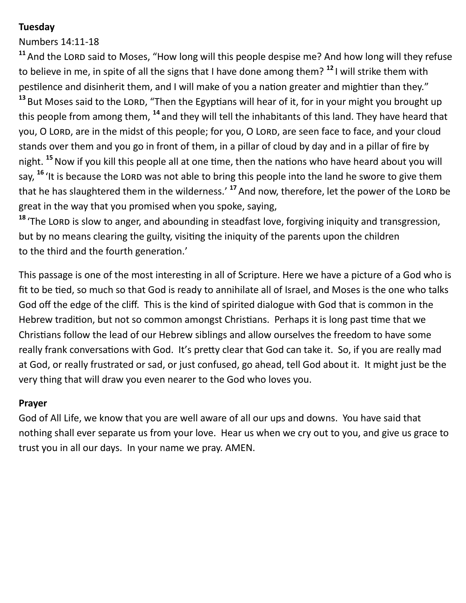# **Tuesday**

Numbers 14:11-18

<sup>11</sup> And the LORD said to Moses, "How long will this people despise me? And how long will they refuse to believe in me, in spite of all the signs that I have done among them? **<sup>12</sup>** I will strike them with pestilence and disinherit them, and I will make of you a nation greater and mightier than they." <sup>13</sup> But Moses said to the LORD, "Then the Egyptians will hear of it, for in your might you brought up this people from among them, **<sup>14</sup>** and they will tell the inhabitants of this land. They have heard that you, O LORD, are in the midst of this people; for you, O LORD, are seen face to face, and your cloud stands over them and you go in front of them, in a pillar of cloud by day and in a pillar of fire by night. **<sup>15</sup>**Now if you kill this people all at one time, then the nations who have heard about you will say, <sup>16</sup> 'It is because the LORD was not able to bring this people into the land he swore to give them that he has slaughtered them in the wilderness.' <sup>17</sup> And now, therefore, let the power of the LORD be great in the way that you promised when you spoke, saying,

<sup>18</sup> 'The LORD is slow to anger, and abounding in steadfast love, forgiving iniquity and transgression, but by no means clearing the guilty, visiting the iniquity of the parents upon the children to the third and the fourth generation.'

This passage is one of the most interesting in all of Scripture. Here we have a picture of a God who is fit to be tied, so much so that God is ready to annihilate all of Israel, and Moses is the one who talks God off the edge of the cliff. This is the kind of spirited dialogue with God that is common in the Hebrew tradition, but not so common amongst Christians. Perhaps it is long past time that we Christians follow the lead of our Hebrew siblings and allow ourselves the freedom to have some really frank conversations with God. It's pretty clear that God can take it. So, if you are really mad at God, or really frustrated or sad, or just confused, go ahead, tell God about it. It might just be the very thing that will draw you even nearer to the God who loves you.

## **Prayer**

God of All Life, we know that you are well aware of all our ups and downs. You have said that nothing shall ever separate us from your love. Hear us when we cry out to you, and give us grace to trust you in all our days. In your name we pray. AMEN.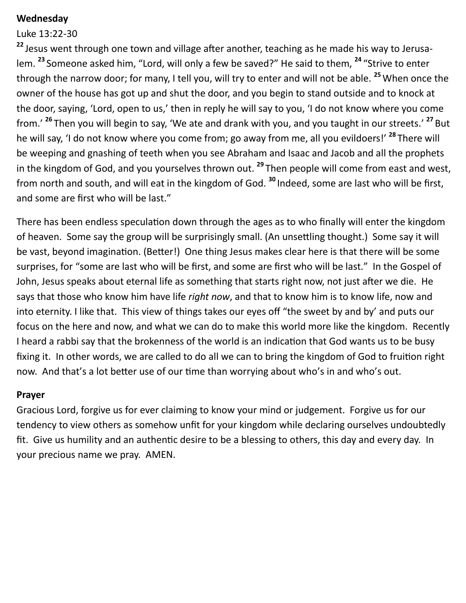### **Wednesday**

#### Luke 13:22-30

**<sup>22</sup>** Jesus went through one town and village after another, teaching as he made his way to Jerusalem. **<sup>23</sup>** Someone asked him, "Lord, will only a few be saved?" He said to them, **<sup>24</sup>** "Strive to enter through the narrow door; for many, I tell you, will try to enter and will not be able. **<sup>25</sup>**When once the owner of the house has got up and shut the door, and you begin to stand outside and to knock at the door, saying, 'Lord, open to us,' then in reply he will say to you, 'I do not know where you come from.' **<sup>26</sup>** Then you will begin to say, 'We ate and drank with you, and you taught in our streets.' **<sup>27</sup>** But he will say, 'I do not know where you come from; go away from me, all you evildoers!' **<sup>28</sup>** There will be weeping and gnashing of teeth when you see Abraham and Isaac and Jacob and all the prophets in the kingdom of God, and you yourselves thrown out. **<sup>29</sup>** Then people will come from east and west, from north and south, and will eat in the kingdom of God. **<sup>30</sup>** Indeed, some are last who will be first, and some are first who will be last."

There has been endless speculation down through the ages as to who finally will enter the kingdom of heaven. Some say the group will be surprisingly small. (An unsettling thought.) Some say it will be vast, beyond imagination. (Better!) One thing Jesus makes clear here is that there will be some surprises, for "some are last who will be first, and some are first who will be last." In the Gospel of John, Jesus speaks about eternal life as something that starts right now, not just after we die. He says that those who know him have life *right now*, and that to know him is to know life, now and into eternity. I like that. This view of things takes our eyes off "the sweet by and by' and puts our focus on the here and now, and what we can do to make this world more like the kingdom. Recently I heard a rabbi say that the brokenness of the world is an indication that God wants us to be busy fixing it. In other words, we are called to do all we can to bring the kingdom of God to fruition right now. And that's a lot better use of our time than worrying about who's in and who's out.

#### **Prayer**

Gracious Lord, forgive us for ever claiming to know your mind or judgement. Forgive us for our tendency to view others as somehow unfit for your kingdom while declaring ourselves undoubtedly fit. Give us humility and an authentic desire to be a blessing to others, this day and every day. In your precious name we pray. AMEN.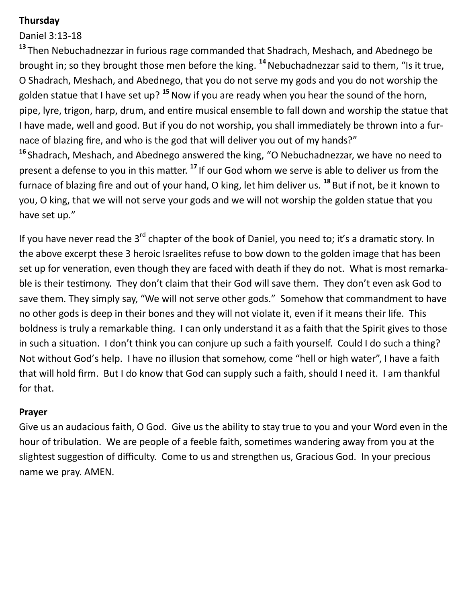# **Thursday**

Daniel 3:13-18

**<sup>13</sup>** Then Nebuchadnezzar in furious rage commanded that Shadrach, Meshach, and Abednego be brought in; so they brought those men before the king. **<sup>14</sup>**Nebuchadnezzar said to them, "Is it true, O Shadrach, Meshach, and Abednego, that you do not serve my gods and you do not worship the golden statue that I have set up? **<sup>15</sup>**Now if you are ready when you hear the sound of the horn, pipe, lyre, trigon, harp, drum, and entire musical ensemble to fall down and worship the statue that I have made, well and good. But if you do not worship, you shall immediately be thrown into a furnace of blazing fire, and who is the god that will deliver you out of my hands?"

**<sup>16</sup>** Shadrach, Meshach, and Abednego answered the king, "O Nebuchadnezzar, we have no need to present a defense to you in this matter. **<sup>17</sup>** If our God whom we serve is able to deliver us from the furnace of blazing fire and out of your hand, O king, let him deliver us. **<sup>18</sup>** But if not, be it known to you, O king, that we will not serve your gods and we will not worship the golden statue that you have set up."

If you have never read the 3<sup>rd</sup> chapter of the book of Daniel, you need to; it's a dramatic story. In the above excerpt these 3 heroic Israelites refuse to bow down to the golden image that has been set up for veneration, even though they are faced with death if they do not. What is most remarkable is their testimony. They don't claim that their God will save them. They don't even ask God to save them. They simply say, "We will not serve other gods." Somehow that commandment to have no other gods is deep in their bones and they will not violate it, even if it means their life. This boldness is truly a remarkable thing. I can only understand it as a faith that the Spirit gives to those in such a situation. I don't think you can conjure up such a faith yourself. Could I do such a thing? Not without God's help. I have no illusion that somehow, come "hell or high water", I have a faith that will hold firm. But I do know that God can supply such a faith, should I need it. I am thankful for that.

## **Prayer**

Give us an audacious faith, O God. Give us the ability to stay true to you and your Word even in the hour of tribulation. We are people of a feeble faith, sometimes wandering away from you at the slightest suggestion of difficulty. Come to us and strengthen us, Gracious God. In your precious name we pray. AMEN.